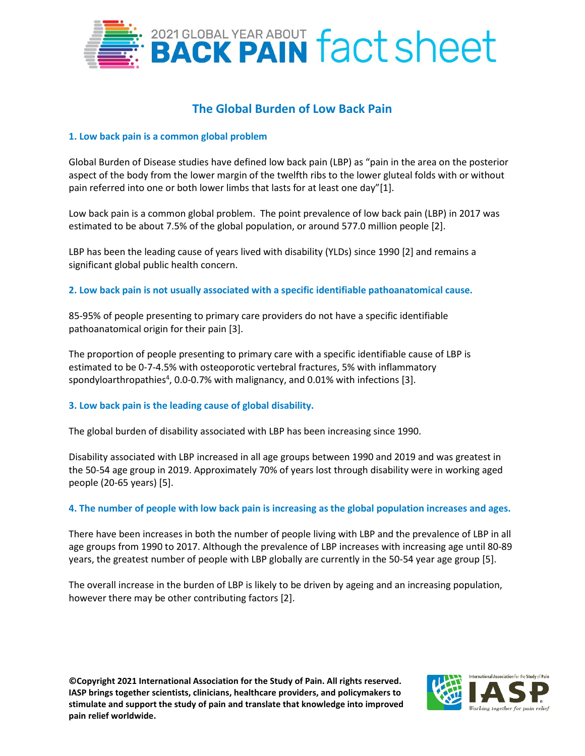

# **The Global Burden of Low Back Pain**

# **1. Low back pain is a common global problem**

Global Burden of Disease studies have defined low back pain (LBP) as "pain in the area on the posterior aspect of the body from the lower margin of the twelfth ribs to the lower gluteal folds with or without pain referred into one or both lower limbs that lasts for at least one day"[1].

Low back pain is a common global problem. The point prevalence of low back pain (LBP) in 2017 was estimated to be about 7.5% of the global population, or around 577.0 million people [2].

LBP has been the leading cause of years lived with disability (YLDs) since 1990 [2] and remains a significant global public health concern.

**2. Low back pain is not usually associated with a specific identifiable pathoanatomical cause.** 

85-95% of people presenting to primary care providers do not have a specific identifiable pathoanatomical origin for their pain [3].

The proportion of people presenting to primary care with a specific identifiable cause of LBP is estimated to be 0-7-4.5% with osteoporotic vertebral fractures, 5% with inflammatory spondyloarthropathies<sup>4</sup>, 0.0-0.7% with malignancy, and 0.01% with infections [3].

## **3. Low back pain is the leading cause of global disability.**

The global burden of disability associated with LBP has been increasing since 1990.

Disability associated with LBP increased in all age groups between 1990 and 2019 and was greatest in the 50-54 age group in 2019. Approximately 70% of years lost through disability were in working aged people (20-65 years) [5].

## **4. The number of people with low back pain is increasing as the global population increases and ages.**

There have been increases in both the number of people living with LBP and the prevalence of LBP in all age groups from 1990 to 2017. Although the prevalence of LBP increases with increasing age until 80-89 years, the greatest number of people with LBP globally are currently in the 50-54 year age group [5].

The overall increase in the burden of LBP is likely to be driven by ageing and an increasing population, however there may be other contributing factors [2].

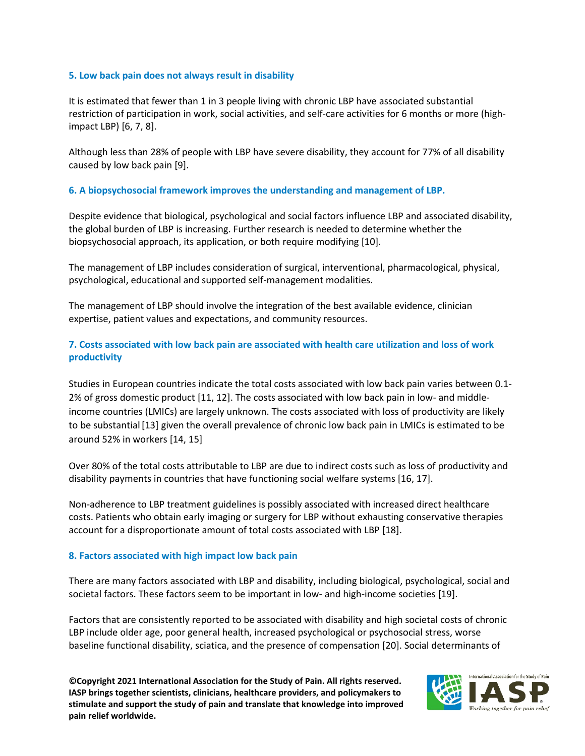### **5. Low back pain does not always result in disability**

It is estimated that fewer than 1 in 3 people living with chronic LBP have associated substantial restriction of participation in work, social activities, and self-care activities for 6 months or more (highimpact LBP) [6, 7, 8].

Although less than 28% of people with LBP have severe disability, they account for 77% of all disability caused by low back pain [9].

## **6. A biopsychosocial framework improves the understanding and management of LBP.**

Despite evidence that biological, psychological and social factors influence LBP and associated disability, the global burden of LBP is increasing. Further research is needed to determine whether the biopsychosocial approach, its application, or both require modifying [10].

The management of LBP includes consideration of surgical, interventional, pharmacological, physical, psychological, educational and supported self-management modalities.

The management of LBP should involve the integration of the best available evidence, clinician expertise, patient values and expectations, and community resources.

# **7. Costs associated with low back pain are associated with health care utilization and loss of work productivity**

Studies in European countries indicate the total costs associated with low back pain varies between 0.1- 2% of gross domestic product [11, 12]. The costs associated with low back pain in low- and middleincome countries (LMICs) are largely unknown. The costs associated with loss of productivity are likely to be substantial[13] given the overall prevalence of chronic low back pain in LMICs is estimated to be around 52% in workers [14, 15]

Over 80% of the total costs attributable to LBP are due to indirect costs such as loss of productivity and disability payments in countries that have functioning social welfare systems [16, 17].

Non-adherence to LBP treatment guidelines is possibly associated with increased direct healthcare costs. Patients who obtain early imaging or surgery for LBP without exhausting conservative therapies account for a disproportionate amount of total costs associated with LBP [18].

## **8. Factors associated with high impact low back pain**

There are many factors associated with LBP and disability, including biological, psychological, social and societal factors. These factors seem to be important in low- and high-income societies [19].

Factors that are consistently reported to be associated with disability and high societal costs of chronic LBP include older age, poor general health, increased psychological or psychosocial stress, worse baseline functional disability, sciatica, and the presence of compensation [20]. Social determinants of

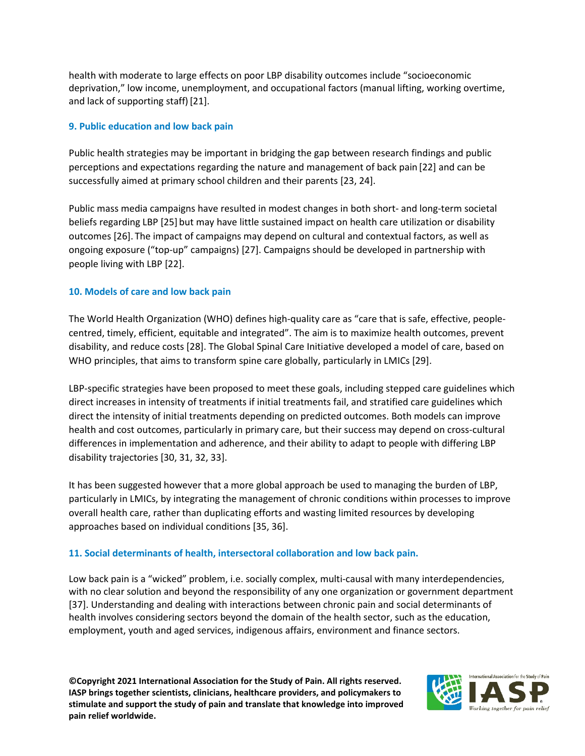health with moderate to large effects on poor LBP disability outcomes include "socioeconomic deprivation," low income, unemployment, and occupational factors (manual lifting, working overtime, and lack of supporting staff)[21].

# **9. Public education and low back pain**

Public health strategies may be important in bridging the gap between research findings and public perceptions and expectations regarding the nature and management of back pain [22] and can be successfully aimed at primary school children and their parents [23, 24].

Public mass media campaigns have resulted in modest changes in both short- and long-term societal beliefs regarding LBP [25] but may have little sustained impact on health care utilization or disability outcomes [26]. The impact of campaigns may depend on cultural and contextual factors, as well as ongoing exposure ("top-up" campaigns) [27]. Campaigns should be developed in partnership with people living with LBP [22].

# **10. Models of care and low back pain**

The World Health Organization (WHO) defines high-quality care as "care that is safe, effective, peoplecentred, timely, efficient, equitable and integrated". The aim is to maximize health outcomes, prevent disability, and reduce costs [28]. The Global Spinal Care Initiative developed a model of care, based on WHO principles, that aims to transform spine care globally, particularly in LMICs [29].

LBP-specific strategies have been proposed to meet these goals, including stepped care guidelines which direct increases in intensity of treatments if initial treatments fail, and stratified care guidelines which direct the intensity of initial treatments depending on predicted outcomes. Both models can improve health and cost outcomes, particularly in primary care, but their success may depend on cross-cultural differences in implementation and adherence, and their ability to adapt to people with differing LBP disability trajectories [30, 31, 32, 33].

It has been suggested however that a more global approach be used to managing the burden of LBP, particularly in LMICs, by integrating the management of chronic conditions within processes to improve overall health care, rather than duplicating efforts and wasting limited resources by developing approaches based on individual conditions [35, 36].

# **11. Social determinants of health, intersectoral collaboration and low back pain.**

Low back pain is a "wicked" problem, i.e. socially complex, multi-causal with many interdependencies, with no clear solution and beyond the responsibility of any one organization or government department [37]. Understanding and dealing with interactions between chronic pain and social determinants of health involves considering sectors beyond the domain of the health sector, such as the education, employment, youth and aged services, indigenous affairs, environment and finance sectors.

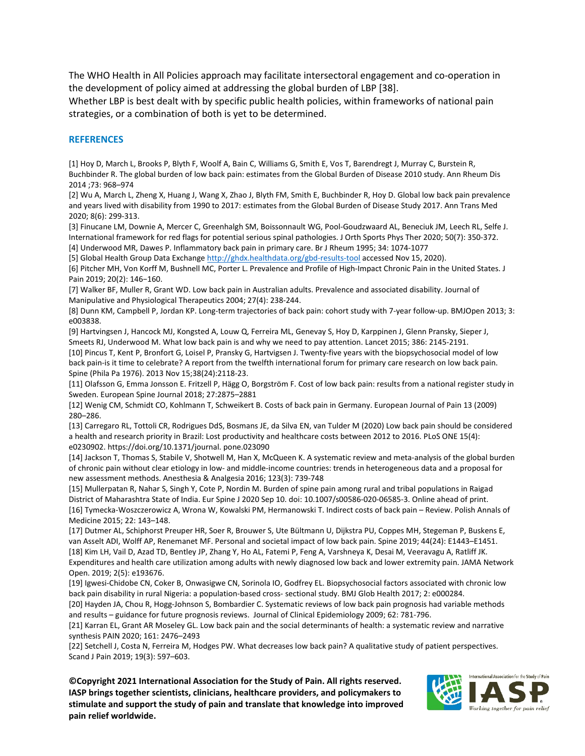The WHO Health in All Policies approach may facilitate intersectoral engagement and co-operation in the development of policy aimed at addressing the global burden of LBP [38].

Whether LBP is best dealt with by specific public health policies, within frameworks of national pain strategies, or a combination of both is yet to be determined.

#### **REFERENCES**

[1] Hoy D, March L, Brooks P, Blyth F, Woolf A, Bain C, Williams G, Smith E, Vos T, Barendregt J, Murray C, Burstein R, Buchbinder R. The global burden of low back pain: estimates from the Global Burden of Disease 2010 study. Ann Rheum Dis 2014 ;73: 968–974

[2] Wu A, March L, Zheng X, Huang J, Wang X, Zhao J, Blyth FM, Smith E, Buchbinder R, Hoy D. Global low back pain prevalence and years lived with disability from 1990 to 2017: estimates from the Global Burden of Disease Study 2017. Ann Trans Med 2020; 8(6): 299-313.

[3] Finucane LM, Downie A, Mercer C, Greenhalgh SM, Boissonnault WG, Pool-Goudzwaard AL, Beneciuk JM, Leech RL, Selfe J. International framework for red flags for potential serious spinal pathologies. J Orth Sports Phys Ther 2020; 50(7): 350-372. [4] Underwood MR, Dawes P. Inflammatory back pain in primary care. Br J Rheum 1995; 34: 1074-1077

[5] Global Health Group Data Exchange<http://ghdx.healthdata.org/gbd-results-tool> accessed Nov 15, 2020).

[6] Pitcher MH, Von Korff M, Bushnell MC, Porter L. Prevalence and Profile of High-Impact Chronic Pain in the United States. J Pain 2019; 20(2): 146−160.

[7] Walker BF, Muller R, Grant WD. Low back pain in Australian adults. Prevalence and associated disability. Journal of Manipulative and Physiological Therapeutics 2004; 27(4): 238-244.

[8] Dunn KM, Campbell P, Jordan KP. Long-term trajectories of back pain: cohort study with 7-year follow-up. BMJOpen 2013; 3: e003838.

[9] Hartvingsen J, Hancock MJ, Kongsted A, Louw Q, Ferreira ML, Genevay S, Hoy D, Karppinen J, Glenn Pransky, Sieper J, Smeets RJ, Underwood M. What low back pain is and why we need to pay attention. Lancet 2015; 386: 2145-2191. [10] Pincus T, Kent P, Bronfort G, Loisel P, Pransky G, Hartvigsen J. Twenty-five years with the biopsychosocial model of low back pain-is it time to celebrate? A report from the twelfth international forum for primary care research on low back pain.

Spine (Phila Pa 1976). 2013 Nov 15;38(24):2118-23. [11] Olafsson G, Emma Jonsson E. Fritzell P, Hägg O, Borgström F. Cost of low back pain: results from a national register study in Sweden. European Spine Journal 2018; 27:2875–2881

[12] Wenig CM, Schmidt CO, Kohlmann T, Schweikert B. Costs of back pain in Germany. European Journal of Pain 13 (2009) 280–286.

[13] Carregaro RL, Tottoli CR, Rodrigues DdS, Bosmans JE, da Silva EN, van Tulder M (2020) Low back pain should be considered a health and research priority in Brazil: Lost productivity and healthcare costs between 2012 to 2016. PLoS ONE 15(4): e0230902. https://doi.org/10.1371/journal. pone.023090

[14] Jackson T, Thomas S, Stabile V, Shotwell M, Han X, McQueen K. A systematic review and meta-analysis of the global burden of chronic pain without clear etiology in low- and middle-income countries: trends in heterogeneous data and a proposal for new assessment methods. Anesthesia & Analgesia 2016; 123(3): 739-748

[15] Mullerpatan R, Nahar S, Singh Y, Cote P, Nordin M. Burden of spine pain among rural and tribal populations in Raigad District of Maharashtra State of India. Eur Spine J 2020 Sep 10. doi: 10.1007/s00586-020-06585-3. Online ahead of print. [16] Tymecka-Woszczerowicz A, Wrona W, Kowalski PM, Hermanowski T. Indirect costs of back pain – Review. Polish Annals of Medicine 2015; 22: 143–148.

[17] Dutmer AL, Schiphorst Preuper HR, Soer R, Brouwer S, Ute Bültmann U, Dijkstra PU, Coppes MH, Stegeman P, Buskens E, van Asselt ADI, Wolff AP, Renemanet MF. Personal and societal impact of low back pain. Spine 2019; 44(24): E1443–E1451. [18] Kim LH, Vail D, Azad TD, Bentley JP, Zhang Y, Ho AL, Fatemi P, Feng A, Varshneya K, Desai M, Veeravagu A, Ratliff JK. Expenditures and health care utilization among adults with newly diagnosed low back and lower extremity pain. JAMA Network Open. 2019; 2(5): e193676.

[19] Igwesi-Chidobe CN, Coker B, Onwasigwe CN, Sorinola IO, Godfrey EL. Biopsychosocial factors associated with chronic low back pain disability in rural Nigeria: a population-based cross- sectional study. BMJ Glob Health 2017; 2: e000284.

[20] Hayden JA, Chou R, Hogg-Johnson S, Bombardier C. Systematic reviews of low back pain prognosis had variable methods and results – guidance for future prognosis reviews. Journal of Clinical Epidemiology 2009; 62: 781-796.

[21] Karran EL, Grant AR Moseley GL. Low back pain and the social determinants of health: a systematic review and narrative synthesis PAIN 2020; 161: 2476–2493

[22] Setchell J, Costa N, Ferreira M, Hodges PW. What decreases low back pain? A qualitative study of patient perspectives. Scand J Pain 2019; 19(3): 597–603.

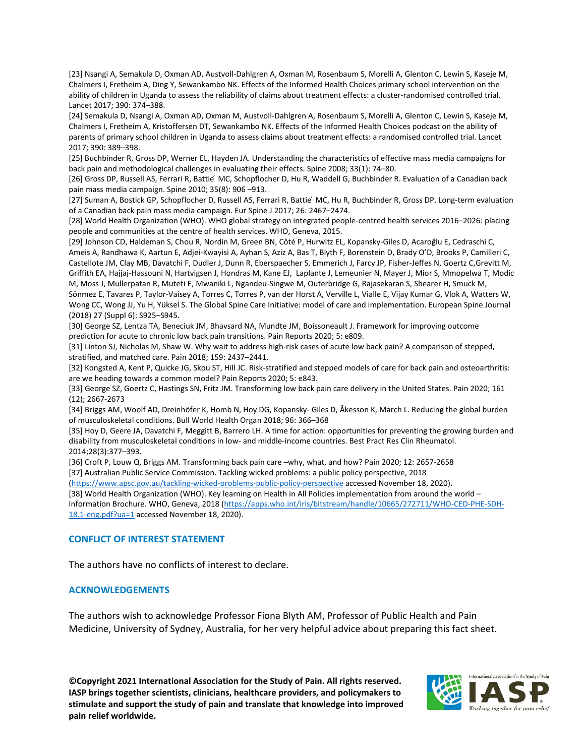[23] Nsangi A, Semakula D, Oxman AD, Austvoll-Dahlgren A, Oxman M, Rosenbaum S, Morelli A, Glenton C, Lewin S, Kaseje M, Chalmers I, Fretheim A, Ding Y, Sewankambo NK. Effects of the Informed Health Choices primary school intervention on the ability of children in Uganda to assess the reliability of claims about treatment effects: a cluster-randomised controlled trial. Lancet 2017; 390: 374–388.

[24] Semakula D, Nsangi A, Oxman AD, Oxman M, Austvoll-Dahlgren A, Rosenbaum S, Morelli A, Glenton C, Lewin S, Kaseje M, Chalmers I, Fretheim A, Kristoffersen DT, Sewankambo NK. Effects of the Informed Health Choices podcast on the ability of parents of primary school children in Uganda to assess claims about treatment effects: a randomised controlled trial. Lancet 2017; 390: 389–398.

[25] Buchbinder R, Gross DP, Werner EL, Hayden JA. Understanding the characteristics of effective mass media campaigns for back pain and methodological challenges in evaluating their effects. Spine 2008; 33(1): 74–80.

[26] Gross DP, Russell AS, Ferrari R, Battie MC, Schopflocher D, Hu R, Waddell G, Buchbinder R. Evaluation of a Canadian back pain mass media campaign. Spine 2010; 35(8): 906 –913.

[27] Suman A, Bostick GP, Schopflocher D, Russell AS, Ferrari R, Battie ́MC, Hu R, Buchbinder R, Gross DP. Long-term evaluation of a Canadian back pain mass media campaign. Eur Spine J 2017; 26: 2467–2474.

[28] World Health Organization (WHO). WHO global strategy on integrated people-centred health services 2016–2026: placing people and communities at the centre of health services. WHO, Geneva, 2015.

[29] Johnson CD, Haldeman S, Chou R, Nordin M, Green BN, Côté P, Hurwitz EL, Kopansky‐Giles D, Acaroğlu E, Cedraschi C, Ameis A, Randhawa K, Aartun E, Adjei-Kwayisi A, Ayhan S, Aziz A, Bas T, Blyth F, Borenstein D, Brady O'D, Brooks P, Camilleri C, Castellote JM, Clay MB, Davatchi F, Dudler J, Dunn R, Eberspaecher S, Emmerich J, Farcy JP, Fisher-Jeffes N, Goertz C,Grevitt M, Griffith EA, Hajjaj-Hassouni N, Hartvigsen J, Hondras M, Kane EJ, Laplante J, Lemeunier N, Mayer J, Mior S, Mmopelwa T, Modic M, Moss J, Mullerpatan R, Muteti E, Mwaniki L, Ngandeu-Singwe M, Outerbridge G, Rajasekaran S, Shearer H, Smuck M,

Sönmez E, Tavares P, Taylor-Vaisey A, Torres C, Torres P, van der Horst A, Verville L, Vialle E, Vijay Kumar G, Vlok A, Watters W, Wong CC, Wong JJ, Yu H, Yüksel S. The Global Spine Care Initiative: model of care and implementation. European Spine Journal (2018) 27 (Suppl 6): S925–S945.

[30] George SZ, Lentza TA, Beneciuk JM, Bhavsard NA, Mundte JM, Boissoneault J. Framework for improving outcome prediction for acute to chronic low back pain transitions. Pain Reports 2020; 5: e809.

[31] Linton SJ, Nicholas M, Shaw W. Why wait to address high-risk cases of acute low back pain? A comparison of stepped, stratified, and matched care. Pain 2018; 159: 2437–2441.

[32] Kongsted A, Kent P, Quicke JG, Skou ST, Hill JC. Risk-stratified and stepped models of care for back pain and osteoarthritis: are we heading towards a common model? Pain Reports 2020; 5: e843.

[33] George SZ, Goertz C, Hastings SN, Fritz JM. Transforming low back pain care delivery in the United States. Pain 2020; 161 (12); 2667-2673

[34] Briggs AM, Woolf AD, Dreinhöfer K, Homb N, Hoy DG, Kopansky- Giles D, Åkesson K, March L. Reducing the global burden of musculoskeletal conditions. Bull World Health Organ 2018; 96: 366–368

[35] Hoy D, Geere JA, Davatchi F, Meggitt B, Barrero LH. A time for action: opportunities for preventing the growing burden and disability from musculoskeletal conditions in low- and middle-income countries. Best Pract Res Clin Rheumatol. 2014;28(3):377–393.

[36] Croft P, Louw Q, Briggs AM. Transforming back pain care –why, what, and how? Pain 2020; 12: 2657-2658 [37] Australian Public Service Commission. Tackling wicked problems: a public policy perspective, 2018

[\(https://www.apsc.gov.au/tackling-wicked-problems-public-policy-perspective](https://www.apsc.gov.au/tackling-wicked-problems-public-policy-perspective) accessed November 18, 2020).

[38] World Health Organization (WHO). Key learning on Health in All Policies implementation from around the world –

Information Brochure. WHO, Geneva, 2018 [\(https://apps.who.int/iris/bitstream/handle/10665/272711/WHO-CED-PHE-SDH-](https://apps.who.int/iris/bitstream/handle/10665/272711/WHO-CED-PHE-SDH-18.1-eng.pdf?ua=1)[18.1-eng.pdf?ua=1](https://apps.who.int/iris/bitstream/handle/10665/272711/WHO-CED-PHE-SDH-18.1-eng.pdf?ua=1) accessed November 18, 2020).

#### **CONFLICT OF INTEREST STATEMENT**

The authors have no conflicts of interest to declare.

#### **ACKNOWLEDGEMENTS**

The authors wish to acknowledge Professor Fiona Blyth AM, Professor of Public Health and Pain Medicine, University of Sydney, Australia, for her very helpful advice about preparing this fact sheet.